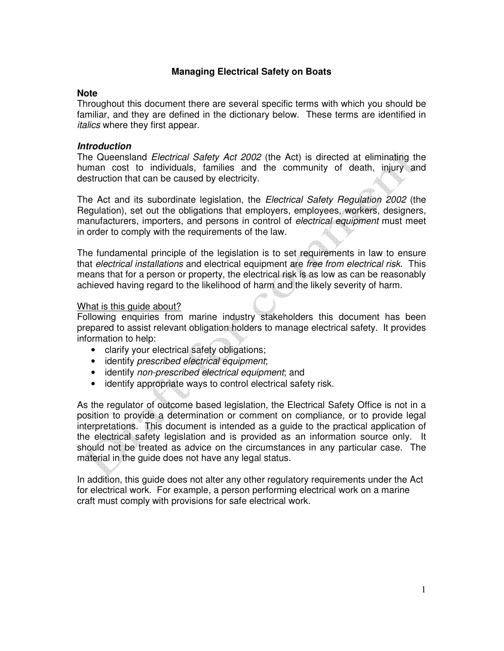## **Managing Electrical Safety on Boats**

## **Note**

Throughout this document there are several specific terms with which you should be familiar, and they are defined in the dictionary below. These terms are identified in italics where they first appear.

## **Introduction**

The Queensland Electrical Safety Act 2002 (the Act) is directed at eliminating the human cost to individuals, families and the community of death, injury and destruction that can be caused by electricity.

The Act and its subordinate legislation, the *Electrical Safety Regulation 2002* (the Regulation), set out the obligations that employers, employees, workers, designers, manufacturers, importers, and persons in control of *electrical equipment* must meet in order to comply with the requirements of the law.

The fundamental principle of the legislation is to set requirements in law to ensure that electrical installations and electrical equipment are free from electrical risk. This means that for a person or property, the electrical risk is as low as can be reasonably achieved having regard to the likelihood of harm and the likely severity of harm.

### What is this guide about?

Following enquiries from marine industry stakeholders this document has been prepared to assist relevant obligation holders to manage electrical safety. It provides information to help:

- clarify your electrical safety obligations;
- identify prescribed electrical equipment;
- identify non-prescribed electrical equipment; and
- identify appropriate ways to control electrical safety risk.

As the regulator of outcome based legislation, the Electrical Safety Office is not in a position to provide a determination or comment on compliance, or to provide legal interpretations. This document is intended as a guide to the practical application of the electrical safety legislation and is provided as an information source only. It should not be treated as advice on the circumstances in any particular case. The material in the guide does not have any legal status.

In addition, this guide does not alter any other regulatory requirements under the Act for electrical work. For example, a person performing electrical work on a marine craft must comply with provisions for safe electrical work.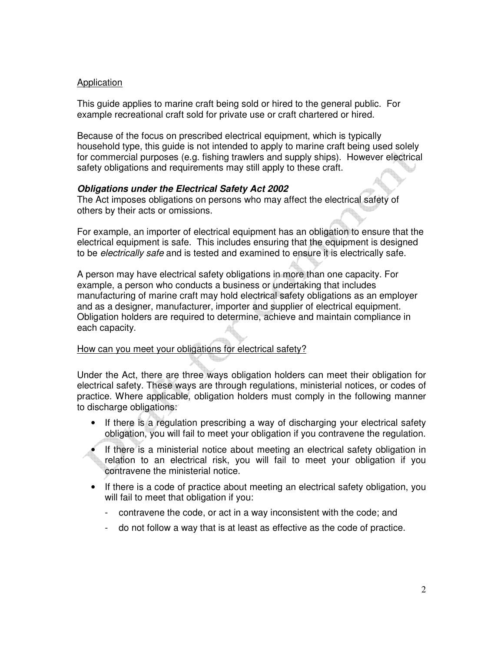## Application

This guide applies to marine craft being sold or hired to the general public. For example recreational craft sold for private use or craft chartered or hired.

Because of the focus on prescribed electrical equipment, which is typically household type, this guide is not intended to apply to marine craft being used solely for commercial purposes (e.g. fishing trawlers and supply ships). However electrical safety obligations and requirements may still apply to these craft.

### **Obligations under the Electrical Safety Act 2002**

The Act imposes obligations on persons who may affect the electrical safety of others by their acts or omissions.

For example, an importer of electrical equipment has an obligation to ensure that the electrical equipment is safe. This includes ensuring that the equipment is designed to be *electrically safe* and is tested and examined to ensure it is electrically safe.

A person may have electrical safety obligations in more than one capacity. For example, a person who conducts a business or undertaking that includes manufacturing of marine craft may hold electrical safety obligations as an employer and as a designer, manufacturer, importer and supplier of electrical equipment. Obligation holders are required to determine, achieve and maintain compliance in each capacity.

# How can you meet your obligations for electrical safety?

Under the Act, there are three ways obligation holders can meet their obligation for electrical safety. These ways are through regulations, ministerial notices, or codes of practice. Where applicable, obligation holders must comply in the following manner to discharge obligations.

- If there is a regulation prescribing a way of discharging your electrical safety obligation, you will fail to meet your obligation if you contravene the regulation.
- If there is a ministerial notice about meeting an electrical safety obligation in relation to an electrical risk, you will fail to meet your obligation if you contravene the ministerial notice.
- If there is a code of practice about meeting an electrical safety obligation, you will fail to meet that obligation if you:
	- contravene the code, or act in a way inconsistent with the code; and
	- do not follow a way that is at least as effective as the code of practice.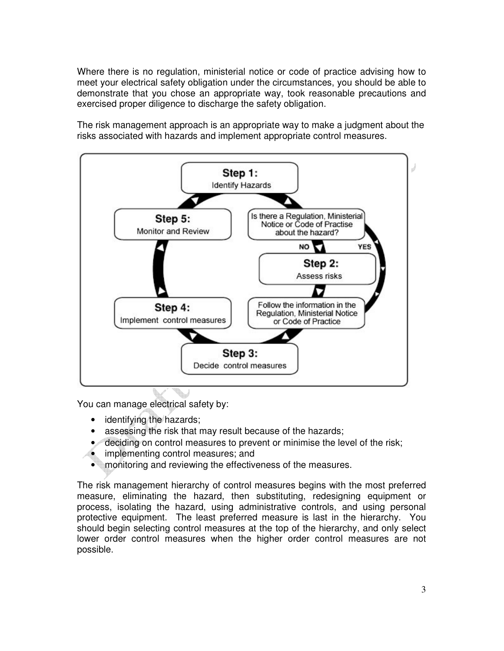Where there is no regulation, ministerial notice or code of practice advising how to meet your electrical safety obligation under the circumstances, you should be able to demonstrate that you chose an appropriate way, took reasonable precautions and exercised proper diligence to discharge the safety obligation.

The risk management approach is an appropriate way to make a judgment about the risks associated with hazards and implement appropriate control measures.



You can manage electrical safety by:

- identifying the hazards;
- assessing the risk that may result because of the hazards;
- deciding on control measures to prevent or minimise the level of the risk;
- implementing control measures; and
- monitoring and reviewing the effectiveness of the measures.

The risk management hierarchy of control measures begins with the most preferred measure, eliminating the hazard, then substituting, redesigning equipment or process, isolating the hazard, using administrative controls, and using personal protective equipment. The least preferred measure is last in the hierarchy. You should begin selecting control measures at the top of the hierarchy, and only select lower order control measures when the higher order control measures are not possible.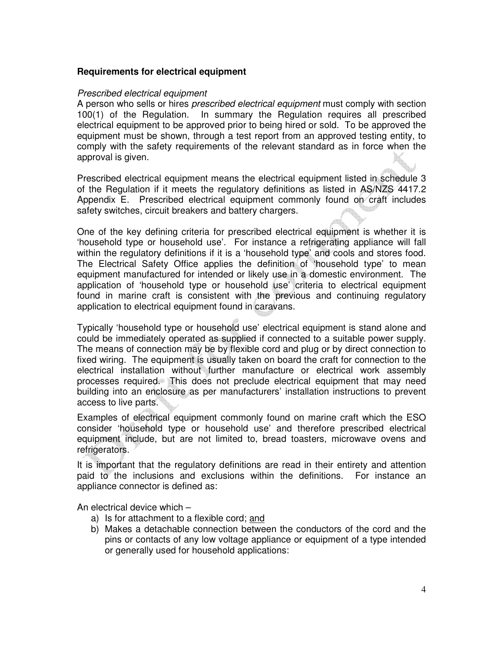## **Requirements for electrical equipment**

#### Prescribed electrical equipment

A person who sells or hires *prescribed electrical equipment* must comply with section 100(1) of the Regulation. In summary the Regulation requires all prescribed electrical equipment to be approved prior to being hired or sold. To be approved the equipment must be shown, through a test report from an approved testing entity, to comply with the safety requirements of the relevant standard as in force when the approval is given.

Prescribed electrical equipment means the electrical equipment listed in schedule 3 of the Regulation if it meets the regulatory definitions as listed in AS/NZS 4417.2 Appendix E. Prescribed electrical equipment commonly found on craft includes safety switches, circuit breakers and battery chargers.

One of the key defining criteria for prescribed electrical equipment is whether it is 'household type or household use'. For instance a refrigerating appliance will fall within the regulatory definitions if it is a 'household type' and cools and stores food. The Electrical Safety Office applies the definition of 'household type' to mean equipment manufactured for intended or likely use in a domestic environment. The application of 'household type or household use' criteria to electrical equipment found in marine craft is consistent with the previous and continuing regulatory application to electrical equipment found in caravans.

Typically 'household type or household use' electrical equipment is stand alone and could be immediately operated as supplied if connected to a suitable power supply. The means of connection may be by flexible cord and plug or by direct connection to fixed wiring. The equipment is usually taken on board the craft for connection to the electrical installation without further manufacture or electrical work assembly processes required. This does not preclude electrical equipment that may need building into an enclosure as per manufacturers' installation instructions to prevent access to live parts.

Examples of electrical equipment commonly found on marine craft which the ESO consider 'household type or household use' and therefore prescribed electrical equipment include, but are not limited to, bread toasters, microwave ovens and refrigerators.

It is important that the regulatory definitions are read in their entirety and attention paid to the inclusions and exclusions within the definitions. For instance an appliance connector is defined as:

An electrical device which –

- a) Is for attachment to a flexible cord; and
- b) Makes a detachable connection between the conductors of the cord and the pins or contacts of any low voltage appliance or equipment of a type intended or generally used for household applications: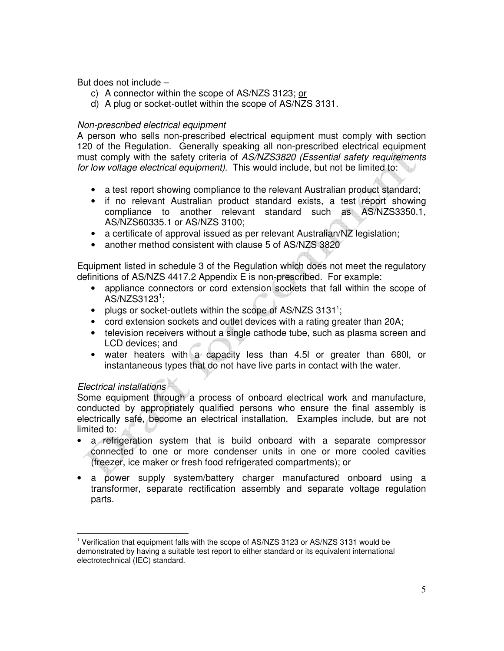But does not include –

- c) A connector within the scope of AS/NZS 3123; or
- d) A plug or socket-outlet within the scope of AS/NZS 3131.

## Non-prescribed electrical equipment

A person who sells non-prescribed electrical equipment must comply with section 120 of the Regulation. Generally speaking all non-prescribed electrical equipment must comply with the safety criteria of AS/NZS3820 (Essential safety requirements for low voltage electrical equipment). This would include, but not be limited to:

- a test report showing compliance to the relevant Australian product standard;
- if no relevant Australian product standard exists, a test report showing compliance to another relevant standard such as AS/NZS3350.1, AS/NZS60335.1 or AS/NZS 3100;
- a certificate of approval issued as per relevant Australian/NZ legislation;
- another method consistent with clause 5 of AS/NZS 3820

Equipment listed in schedule 3 of the Regulation which does not meet the regulatory definitions of AS/NZS 4417.2 Appendix E is non-prescribed. For example:

- appliance connectors or cord extension sockets that fall within the scope of  $\overline{\text{AS}}$ /NZS3123<sup>1</sup>;
- plugs or socket-outlets within the scope of AS/NZS 3131<sup>1</sup>;
- cord extension sockets and outlet devices with a rating greater than 20A;
- television receivers without a single cathode tube, such as plasma screen and LCD devices; and
- water heaters with a capacity less than 4.5l or greater than 680l, or instantaneous types that do not have live parts in contact with the water.

## Electrical installations

 $\overline{a}$ 

Some equipment through a process of onboard electrical work and manufacture, conducted by appropriately qualified persons who ensure the final assembly is electrically safe, become an electrical installation. Examples include, but are not limited to:

- a refrigeration system that is build onboard with a separate compressor connected to one or more condenser units in one or more cooled cavities (freezer, ice maker or fresh food refrigerated compartments); or
- a power supply system/battery charger manufactured onboard using a transformer, separate rectification assembly and separate voltage regulation parts.

 $1$  Verification that equipment falls with the scope of AS/NZS 3123 or AS/NZS 3131 would be demonstrated by having a suitable test report to either standard or its equivalent international electrotechnical (IEC) standard.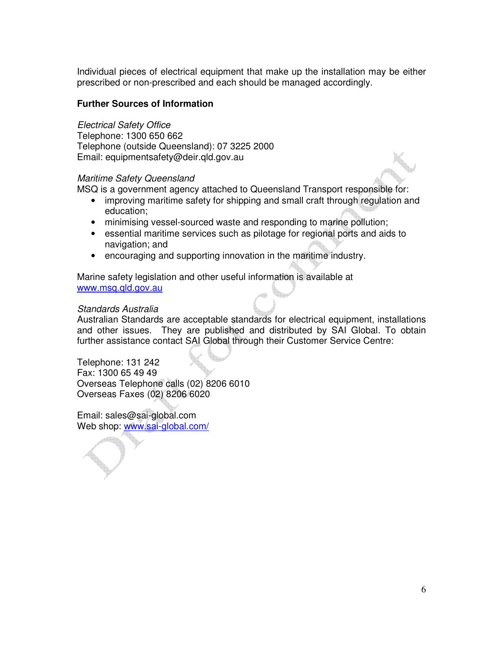Individual pieces of electrical equipment that make up the installation may be either prescribed or non-prescribed and each should be managed accordingly.

## **Further Sources of Information**

Electrical Safety Office

Telephone: 1300 650 662 Telephone (outside Queensland): 07 3225 2000 Email: equipmentsafety@deir.qld.gov.au

### Maritime Safety Queensland

MSQ is a government agency attached to Queensland Transport responsible for:

- improving maritime safety for shipping and small craft through regulation and education;
- minimising vessel-sourced waste and responding to marine pollution;
- essential maritime services such as pilotage for regional ports and aids to navigation; and
- encouraging and supporting innovation in the maritime industry.

Marine safety legislation and other useful information is available at www.msq.qld.gov.au

### Standards Australia

Australian Standards are acceptable standards for electrical equipment, installations and other issues. They are published and distributed by SAI Global. To obtain further assistance contact SAI Global through their Customer Service Centre:

Telephone: 131 242 Fax: 1300 65 49 49 Overseas Telephone calls (02) 8206 6010 Overseas Faxes (02) 8206 6020

Email: sales@sai-global.com Web shop: www.sai-global.com/

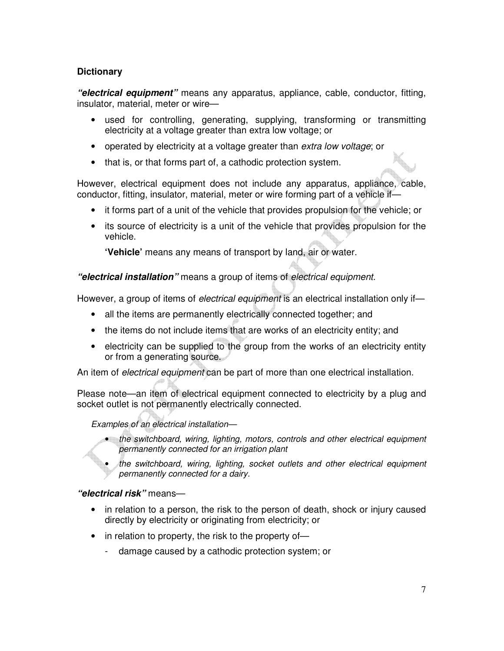# **Dictionary**

**"electrical equipment"** means any apparatus, appliance, cable, conductor, fitting, insulator, material, meter or wire—

- used for controlling, generating, supplying, transforming or transmitting electricity at a voltage greater than extra low voltage; or
- operated by electricity at a voltage greater than extra low voltage; or
- that is, or that forms part of, a cathodic protection system.

However, electrical equipment does not include any apparatus, appliance, cable, conductor, fitting, insulator, material, meter or wire forming part of a vehicle if—

- it forms part of a unit of the vehicle that provides propulsion for the vehicle; or
- its source of electricity is a unit of the vehicle that provides propulsion for the vehicle.

**'Vehicle'** means any means of transport by land, air or water.

**"electrical installation"** means a group of items of electrical equipment.

However, a group of items of *electrical equipment* is an electrical installation only if—

- all the items are permanently electrically connected together; and
- the items do not include items that are works of an electricity entity; and
- electricity can be supplied to the group from the works of an electricity entity or from a generating source.

An item of *electrical equipment* can be part of more than one electrical installation.

Please note—an item of electrical equipment connected to electricity by a plug and socket outlet is not permanently electrically connected.

Examples of an electrical installation—

- the switchboard, wiring, lighting, motors, controls and other electrical equipment permanently connected for an irrigation plant
- the switchboard, wiring, lighting, socket outlets and other electrical equipment permanently connected for a dairy.

# **"electrical risk"** means—

- in relation to a person, the risk to the person of death, shock or injury caused directly by electricity or originating from electricity; or
- in relation to property, the risk to the property of
	- damage caused by a cathodic protection system; or